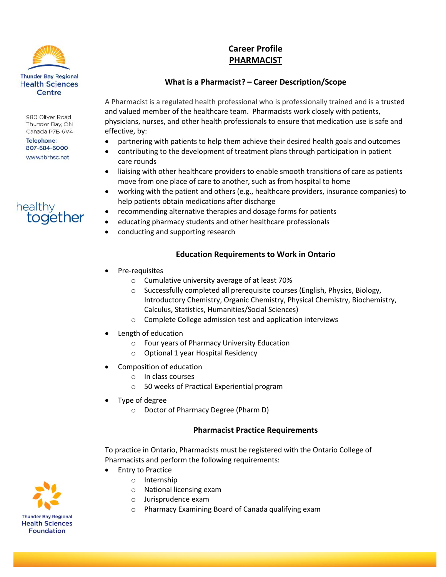

980 Oliver Road Thunder Bay, ON Canada P7B 6V4

**Telephone:** 807-684-6000 www.tbrhsc.net

# healthy together

## **Career Profile PHARMACIST**

## **What is a Pharmacist? – Career Description/Scope**

A Pharmacist is a regulated health professional who is professionally trained and is a trusted and valued member of the healthcare team. Pharmacists work closely with patients, physicians, nurses, and other health professionals to ensure that medication use is safe and effective, by:

- partnering with patients to help them achieve their desired health goals and outcomes
- contributing to the development of treatment plans through participation in patient care rounds
- liaising with other healthcare providers to enable smooth transitions of care as patients move from one place of care to another, such as from hospital to home
- working with the patient and others (e.g., healthcare providers, insurance companies) to help patients obtain medications after discharge
- recommending alternative therapies and dosage forms for patients
- educating pharmacy students and other healthcare professionals
- conducting and supporting research

#### **Education Requirements to Work in Ontario**

- Pre-requisites
	- o Cumulative university average of at least 70%
	- o Successfully completed all prerequisite courses (English, Physics, Biology, Introductory Chemistry, Organic Chemistry, Physical Chemistry, Biochemistry, Calculus, Statistics, Humanities/Social Sciences)
	- o Complete College admission test and application interviews
- Length of education
	- o Four years of Pharmacy University Education
	- o Optional 1 year Hospital Residency
- Composition of education
	- o In class courses
	- o 50 weeks of Practical Experiential program
- Type of degree
	- o Doctor of Pharmacy Degree (Pharm D)

#### **Pharmacist Practice Requirements**

To practice in Ontario, Pharmacists must be registered with the Ontario College of Pharmacists and perform the following requirements:

- Entry to Practice
	- o Internship
		- o National licensing exam
		- o Jurisprudence exam
		- o Pharmacy Examining Board of Canada qualifying exam